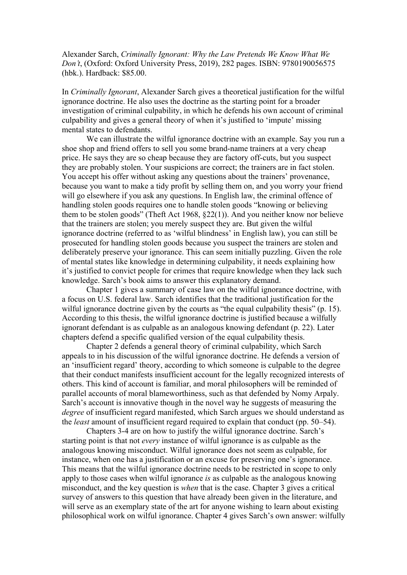Alexander Sarch, *Criminally Ignorant: Why the Law Pretends We Know What We Don't*, (Oxford: Oxford University Press, 2019), 282 pages. ISBN: 9780190056575 (hbk.). Hardback: \$85.00.

In *Criminally Ignorant*, Alexander Sarch gives a theoretical justification for the wilful ignorance doctrine. He also uses the doctrine as the starting point for a broader investigation of criminal culpability, in which he defends his own account of criminal culpability and gives a general theory of when it's justified to 'impute' missing mental states to defendants.

We can illustrate the wilful ignorance doctrine with an example. Say you run a shoe shop and friend offers to sell you some brand-name trainers at a very cheap price. He says they are so cheap because they are factory off-cuts, but you suspect they are probably stolen. Your suspicions are correct; the trainers are in fact stolen. You accept his offer without asking any questions about the trainers' provenance, because you want to make a tidy profit by selling them on, and you worry your friend will go elsewhere if you ask any questions. In English law, the criminal offence of handling stolen goods requires one to handle stolen goods "knowing or believing them to be stolen goods" (Theft Act 1968, §22(1)). And you neither know nor believe that the trainers are stolen; you merely suspect they are. But given the wilful ignorance doctrine (referred to as 'wilful blindness' in English law), you can still be prosecuted for handling stolen goods because you suspect the trainers are stolen and deliberately preserve your ignorance. This can seem initially puzzling. Given the role of mental states like knowledge in determining culpability, it needs explaining how it's justified to convict people for crimes that require knowledge when they lack such knowledge. Sarch's book aims to answer this explanatory demand.

Chapter 1 gives a summary of case law on the wilful ignorance doctrine, with a focus on U.S. federal law. Sarch identifies that the traditional justification for the wilful ignorance doctrine given by the courts as "the equal culpability thesis" (p. 15). According to this thesis, the wilful ignorance doctrine is justified because a wilfully ignorant defendant is as culpable as an analogous knowing defendant (p. 22). Later chapters defend a specific qualified version of the equal culpability thesis.

Chapter 2 defends a general theory of criminal culpability, which Sarch appeals to in his discussion of the wilful ignorance doctrine. He defends a version of an 'insufficient regard' theory, according to which someone is culpable to the degree that their conduct manifests insufficient account for the legally recognized interests of others. This kind of account is familiar, and moral philosophers will be reminded of parallel accounts of moral blameworthiness, such as that defended by Nomy Arpaly. Sarch's account is innovative though in the novel way he suggests of measuring the *degree* of insufficient regard manifested, which Sarch argues we should understand as the *least* amount of insufficient regard required to explain that conduct (pp. 50–54).

Chapters 3-4 are on how to justify the wilful ignorance doctrine. Sarch's starting point is that not *every* instance of wilful ignorance is as culpable as the analogous knowing misconduct. Wilful ignorance does not seem as culpable, for instance, when one has a justification or an excuse for preserving one's ignorance. This means that the wilful ignorance doctrine needs to be restricted in scope to only apply to those cases when wilful ignorance *is* as culpable as the analogous knowing misconduct, and the key question is *when* that is the case. Chapter 3 gives a critical survey of answers to this question that have already been given in the literature, and will serve as an exemplary state of the art for anyone wishing to learn about existing philosophical work on wilful ignorance. Chapter 4 gives Sarch's own answer: wilfully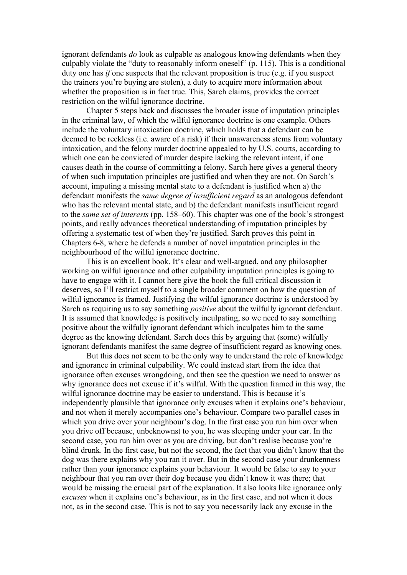ignorant defendants *do* look as culpable as analogous knowing defendants when they culpably violate the "duty to reasonably inform oneself" (p. 115). This is a conditional duty one has *if* one suspects that the relevant proposition is true (e.g. if you suspect the trainers you're buying are stolen), a duty to acquire more information about whether the proposition is in fact true. This, Sarch claims, provides the correct restriction on the wilful ignorance doctrine.

Chapter 5 steps back and discusses the broader issue of imputation principles in the criminal law, of which the wilful ignorance doctrine is one example. Others include the voluntary intoxication doctrine, which holds that a defendant can be deemed to be reckless (i.e. aware of a risk) if their unawareness stems from voluntary intoxication, and the felony murder doctrine appealed to by U.S. courts, according to which one can be convicted of murder despite lacking the relevant intent, if one causes death in the course of committing a felony. Sarch here gives a general theory of when such imputation principles are justified and when they are not. On Sarch's account, imputing a missing mental state to a defendant is justified when a) the defendant manifests the *same degree of insufficient regard* as an analogous defendant who has the relevant mental state, and b) the defendant manifests insufficient regard to the *same set of interests* (pp. 158–60). This chapter was one of the book's strongest points, and really advances theoretical understanding of imputation principles by offering a systematic test of when they're justified. Sarch proves this point in Chapters 6-8, where he defends a number of novel imputation principles in the neighbourhood of the wilful ignorance doctrine.

This is an excellent book. It's clear and well-argued, and any philosopher working on wilful ignorance and other culpability imputation principles is going to have to engage with it. I cannot here give the book the full critical discussion it deserves, so I'll restrict myself to a single broader comment on how the question of wilful ignorance is framed. Justifying the wilful ignorance doctrine is understood by Sarch as requiring us to say something *positive* about the wilfully ignorant defendant. It is assumed that knowledge is positively inculpating, so we need to say something positive about the wilfully ignorant defendant which inculpates him to the same degree as the knowing defendant. Sarch does this by arguing that (some) wilfully ignorant defendants manifest the same degree of insufficient regard as knowing ones.

But this does not seem to be the only way to understand the role of knowledge and ignorance in criminal culpability. We could instead start from the idea that ignorance often excuses wrongdoing, and then see the question we need to answer as why ignorance does not excuse if it's wilful. With the question framed in this way, the wilful ignorance doctrine may be easier to understand. This is because it's independently plausible that ignorance only excuses when it explains one's behaviour, and not when it merely accompanies one's behaviour. Compare two parallel cases in which you drive over your neighbour's dog. In the first case you run him over when you drive off because, unbeknownst to you, he was sleeping under your car. In the second case, you run him over as you are driving, but don't realise because you're blind drunk. In the first case, but not the second, the fact that you didn't know that the dog was there explains why you ran it over. But in the second case your drunkenness rather than your ignorance explains your behaviour. It would be false to say to your neighbour that you ran over their dog because you didn't know it was there; that would be missing the crucial part of the explanation. It also looks like ignorance only *excuses* when it explains one's behaviour, as in the first case, and not when it does not, as in the second case. This is not to say you necessarily lack any excuse in the